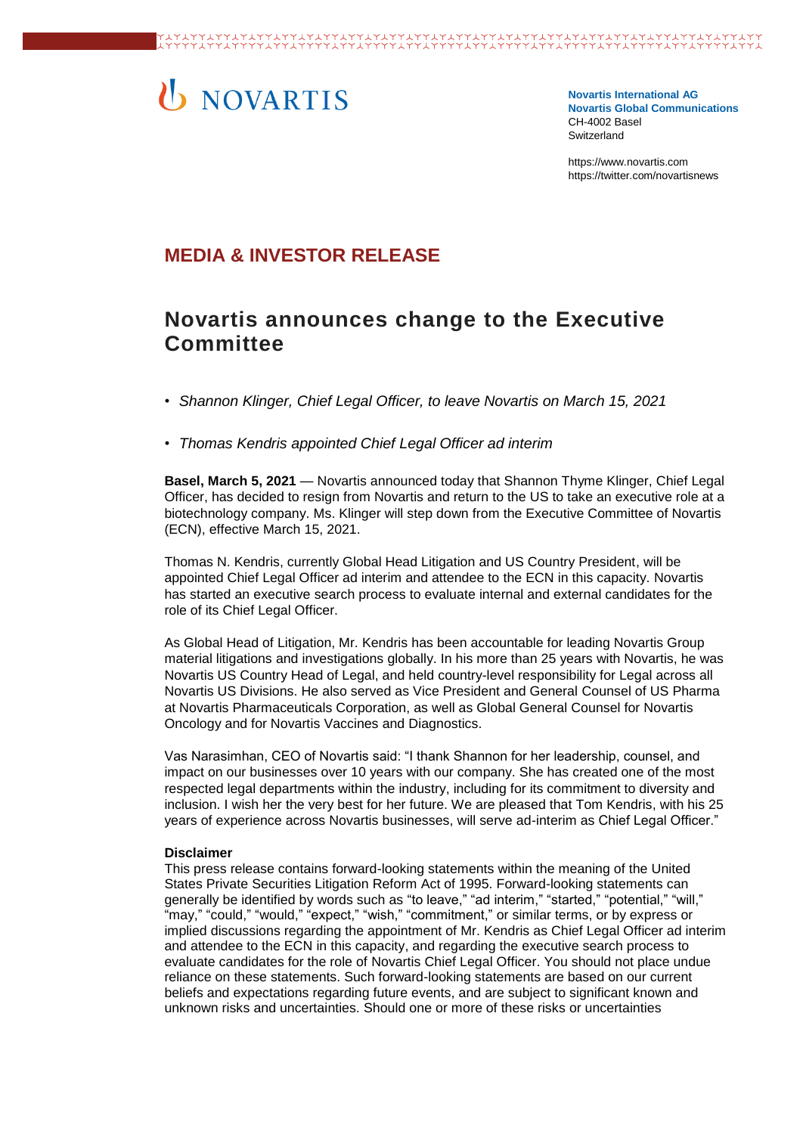# U NOVARTIS

**Novartis International AG Novartis Global Communications**  CH-4002 Basel Switzerland

[https://www.novartis.com](https://www.novartis.com/) https://twitter.com/novartisnews

# **MEDIA & INVESTOR RELEASE**

# **Novartis announces change to the Executive Committee**

- *Shannon Klinger, Chief Legal Officer, to leave Novartis on March 15, 2021*
- *Thomas Kendris appointed Chief Legal Officer ad interim*

**Basel, March 5, 2021** — Novartis announced today that Shannon Thyme Klinger, Chief Legal Officer, has decided to resign from Novartis and return to the US to take an executive role at a biotechnology company. Ms. Klinger will step down from the Executive Committee of Novartis (ECN), effective March 15, 2021.

Thomas N. Kendris, currently Global Head Litigation and US Country President, will be appointed Chief Legal Officer ad interim and attendee to the ECN in this capacity. Novartis has started an executive search process to evaluate internal and external candidates for the role of its Chief Legal Officer.

As Global Head of Litigation, Mr. Kendris has been accountable for leading Novartis Group material litigations and investigations globally. In his more than 25 years with Novartis, he was Novartis US Country Head of Legal, and held country-level responsibility for Legal across all Novartis US Divisions. He also served as Vice President and General Counsel of US Pharma at Novartis Pharmaceuticals Corporation, as well as Global General Counsel for Novartis Oncology and for Novartis Vaccines and Diagnostics.

Vas Narasimhan, CEO of Novartis said: "I thank Shannon for her leadership, counsel, and impact on our businesses over 10 years with our company. She has created one of the most respected legal departments within the industry, including for its commitment to diversity and inclusion. I wish her the very best for her future. We are pleased that Tom Kendris, with his 25 years of experience across Novartis businesses, will serve ad-interim as Chief Legal Officer."

## **Disclaimer**

This press release contains forward-looking statements within the meaning of the United States Private Securities Litigation Reform Act of 1995. Forward-looking statements can generally be identified by words such as "to leave," "ad interim," "started," "potential," "will," "may," "could," "would," "expect," "wish," "commitment," or similar terms, or by express or implied discussions regarding the appointment of Mr. Kendris as Chief Legal Officer ad interim and attendee to the ECN in this capacity, and regarding the executive search process to evaluate candidates for the role of Novartis Chief Legal Officer. You should not place undue reliance on these statements. Such forward-looking statements are based on our current beliefs and expectations regarding future events, and are subject to significant known and unknown risks and uncertainties. Should one or more of these risks or uncertainties